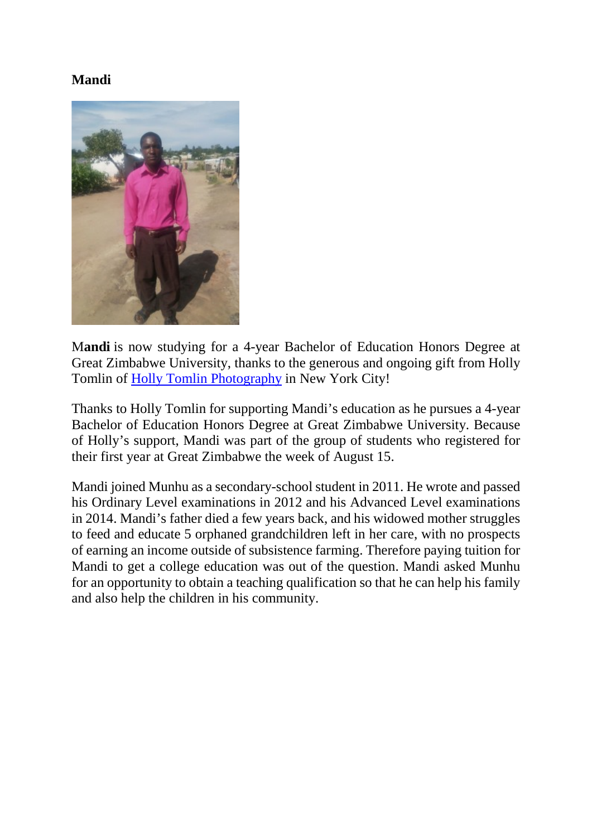# **Mandi**



M**andi** is now studying for a 4-year Bachelor of Education Honors Degree at Great Zimbabwe University, thanks to the generous and ongoing gift from Holly Tomlin of [Holly Tomlin Photography](http://www.hollytomlinphotography.com/) in New York City!

Thanks to Holly Tomlin for supporting Mandi's education as he pursues a 4-year Bachelor of Education Honors Degree at Great Zimbabwe University. Because of Holly's support, Mandi was part of the group of students who registered for their first year at Great Zimbabwe the week of August 15.

Mandi joined Munhu as a secondary-school student in 2011. He wrote and passed his Ordinary Level examinations in 2012 and his Advanced Level examinations in 2014. Mandi's father died a few years back, and his widowed mother struggles to feed and educate 5 orphaned grandchildren left in her care, with no prospects of earning an income outside of subsistence farming. Therefore paying tuition for Mandi to get a college education was out of the question. Mandi asked Munhu for an opportunity to obtain a teaching qualification so that he can help his family and also help the children in his community.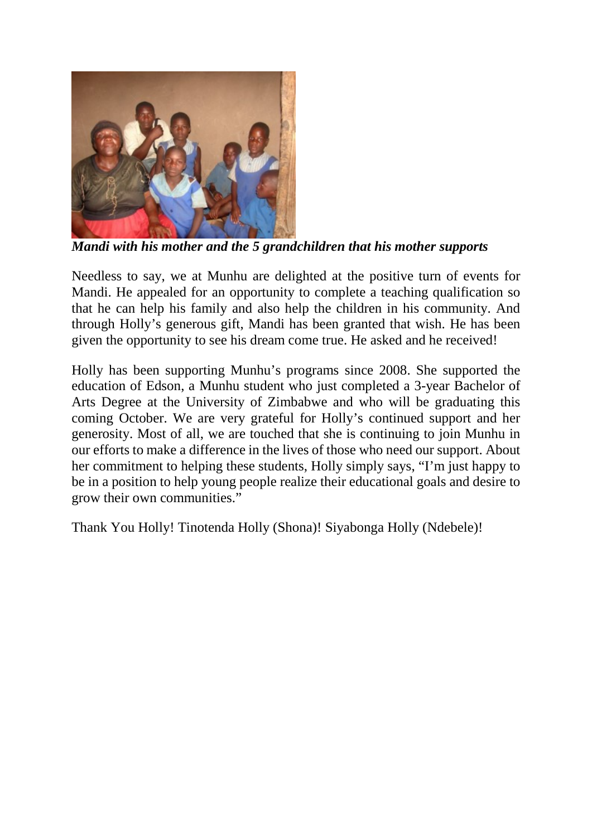

*Mandi with his mother and the 5 grandchildren that his mother supports*

Needless to say, we at Munhu are delighted at the positive turn of events for Mandi. He appealed for an opportunity to complete a teaching qualification so that he can help his family and also help the children in his community. And through Holly's generous gift, Mandi has been granted that wish. He has been given the opportunity to see his dream come true. He asked and he received!

Holly has been supporting Munhu's programs since 2008. She supported the education of Edson, a Munhu student who just completed a 3-year Bachelor of Arts Degree at the University of Zimbabwe and who will be graduating this coming October. We are very grateful for Holly's continued support and her generosity. Most of all, we are touched that she is continuing to join Munhu in our efforts to make a difference in the lives of those who need our support. About her commitment to helping these students, Holly simply says, "I'm just happy to be in a position to help young people realize their educational goals and desire to grow their own communities."

Thank You Holly! Tinotenda Holly (Shona)! Siyabonga Holly (Ndebele)!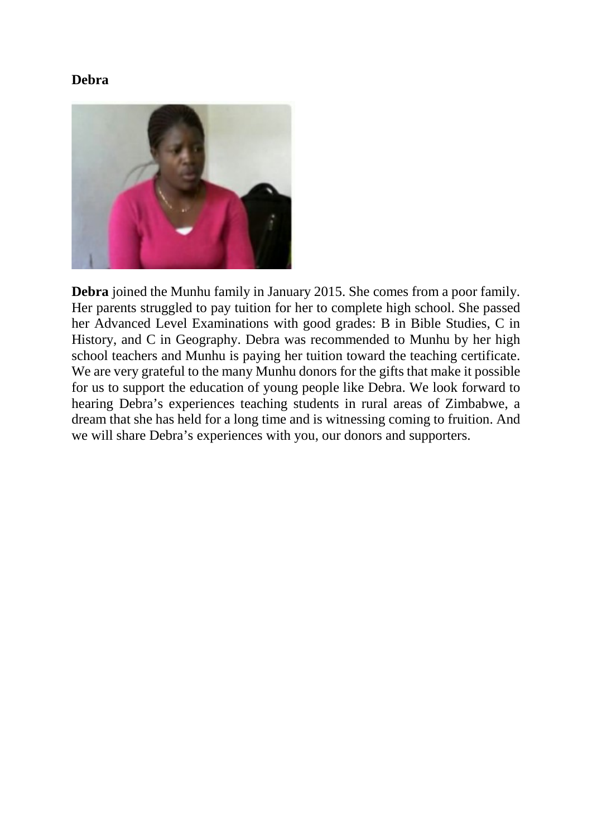#### **Debra**



**Debra** joined the Munhu family in January 2015. She comes from a poor family. Her parents struggled to pay tuition for her to complete high school. She passed her Advanced Level Examinations with good grades: B in Bible Studies, C in History, and C in Geography. Debra was recommended to Munhu by her high school teachers and Munhu is paying her tuition toward the teaching certificate. We are very grateful to the many Munhu donors for the gifts that make it possible for us to support the education of young people like Debra. We look forward to hearing Debra's experiences teaching students in rural areas of Zimbabwe, a dream that she has held for a long time and is witnessing coming to fruition. And we will share Debra's experiences with you, our donors and supporters.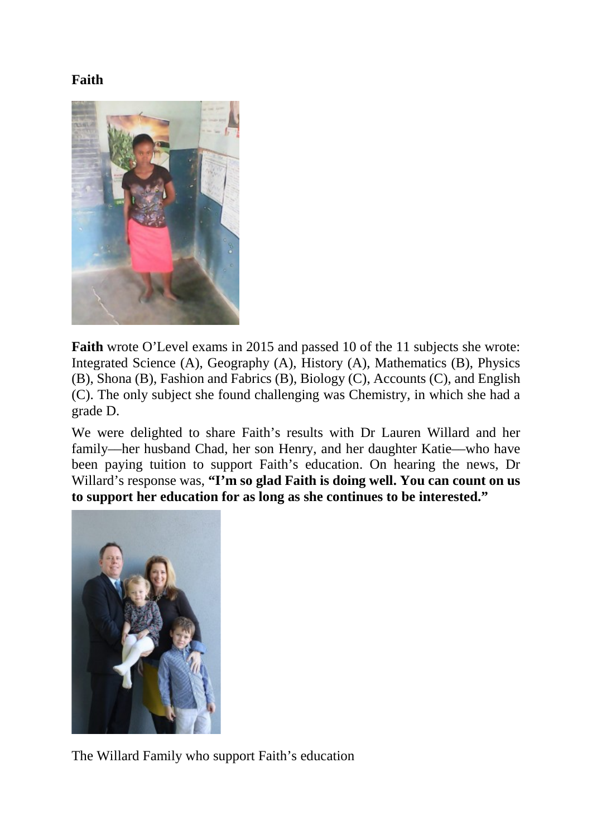# **Faith**



**Faith** wrote O'Level exams in 2015 and passed 10 of the 11 subjects she wrote: Integrated Science (A), Geography (A), History (A), Mathematics (B), Physics (B), Shona (B), Fashion and Fabrics (B), Biology (C), Accounts (C), and English (C). The only subject she found challenging was Chemistry, in which she had a grade D.

We were delighted to share Faith's results with Dr Lauren Willard and her family––her husband Chad, her son Henry, and her daughter Katie––who have been paying tuition to support Faith's education. On hearing the news, Dr Willard's response was, **"I'm so glad Faith is doing well. You can count on us to support her education for as long as she continues to be interested."**



The Willard Family who support Faith's education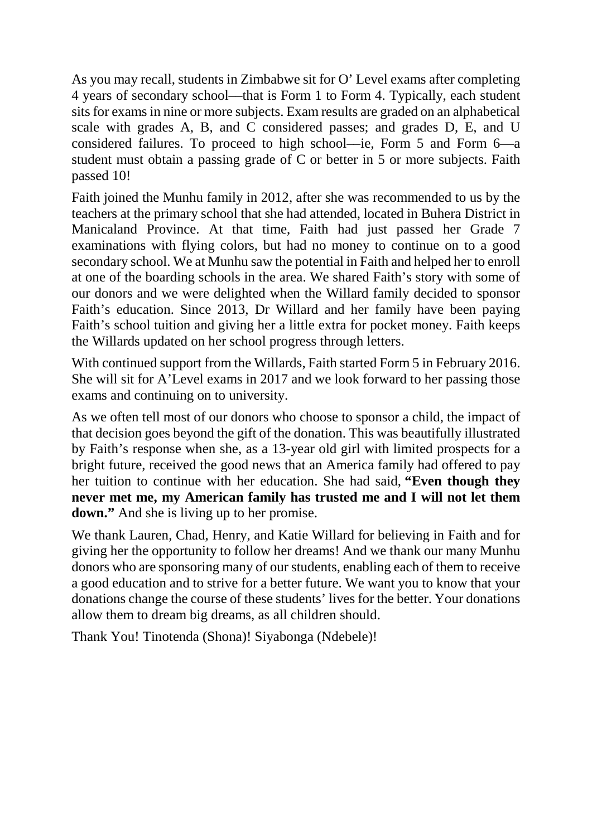As you may recall, students in Zimbabwe sit for O' Level exams after completing 4 years of secondary school––that is Form 1 to Form 4. Typically, each student sits for exams in nine or more subjects. Exam results are graded on an alphabetical scale with grades A, B, and C considered passes; and grades D, E, and U considered failures. To proceed to high school––ie, Form 5 and Form 6––a student must obtain a passing grade of C or better in 5 or more subjects. Faith passed 10!

Faith joined the Munhu family in 2012, after she was recommended to us by the teachers at the primary school that she had attended, located in Buhera District in Manicaland Province. At that time, Faith had just passed her Grade 7 examinations with flying colors, but had no money to continue on to a good secondary school. We at Munhu saw the potential in Faith and helped her to enroll at one of the boarding schools in the area. We shared Faith's story with some of our donors and we were delighted when the Willard family decided to sponsor Faith's education. Since 2013, Dr Willard and her family have been paying Faith's school tuition and giving her a little extra for pocket money. Faith keeps the Willards updated on her school progress through letters.

With continued support from the Willards, Faith started Form 5 in February 2016. She will sit for A'Level exams in 2017 and we look forward to her passing those exams and continuing on to university.

As we often tell most of our donors who choose to sponsor a child, the impact of that decision goes beyond the gift of the donation. This was beautifully illustrated by Faith's response when she, as a 13-year old girl with limited prospects for a bright future, received the good news that an America family had offered to pay her tuition to continue with her education. She had said, **"Even though they never met me, my American family has trusted me and I will not let them down."** And she is living up to her promise.

We thank Lauren, Chad, Henry, and Katie Willard for believing in Faith and for giving her the opportunity to follow her dreams! And we thank our many Munhu donors who are sponsoring many of our students, enabling each of them to receive a good education and to strive for a better future. We want you to know that your donations change the course of these students' lives for the better. Your donations allow them to dream big dreams, as all children should.

Thank You! Tinotenda (Shona)! Siyabonga (Ndebele)!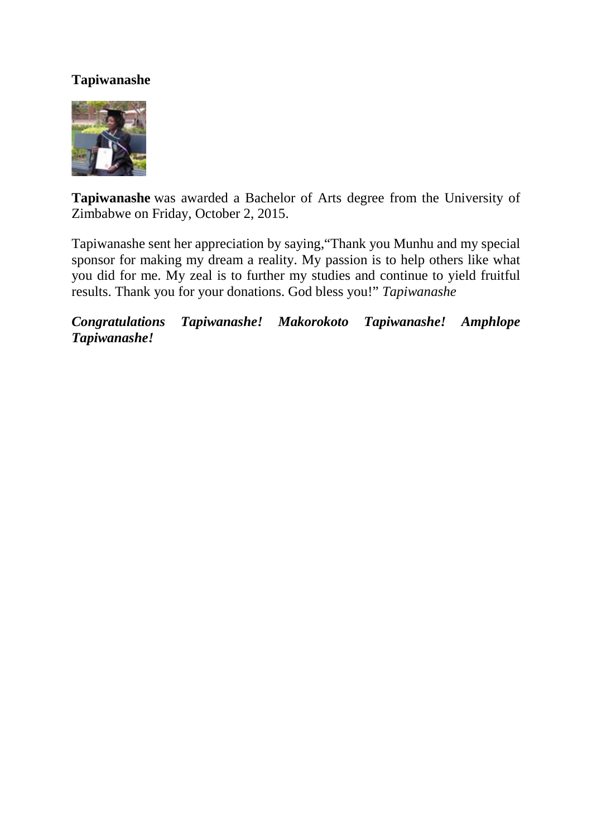### **Tapiwanashe**



**Tapiwanashe** was awarded a Bachelor of Arts degree from the University of Zimbabwe on Friday, October 2, 2015.

Tapiwanashe sent her appreciation by saying,"Thank you Munhu and my special sponsor for making my dream a reality. My passion is to help others like what you did for me. My zeal is to further my studies and continue to yield fruitful results. Thank you for your donations. God bless you!" *Tapiwanashe*

*Congratulations Tapiwanashe! Makorokoto Tapiwanashe! Amphlope Tapiwanashe!*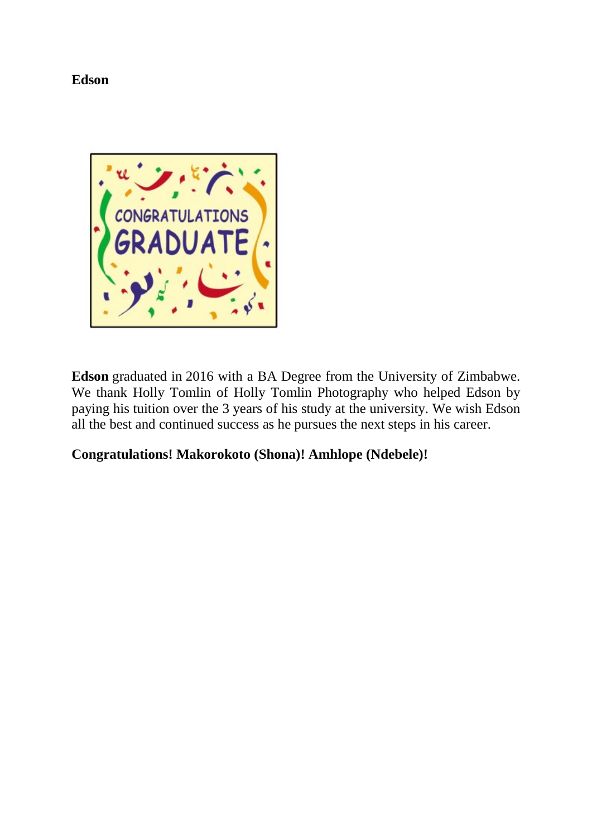**Edson**



**Edson** graduated in 2016 with a BA Degree from the University of Zimbabwe. We thank Holly Tomlin of Holly Tomlin Photography who helped Edson by paying his tuition over the 3 years of his study at the university. We wish Edson all the best and continued success as he pursues the next steps in his career.

# **Congratulations! Makorokoto (Shona)! Amhlope (Ndebele)!**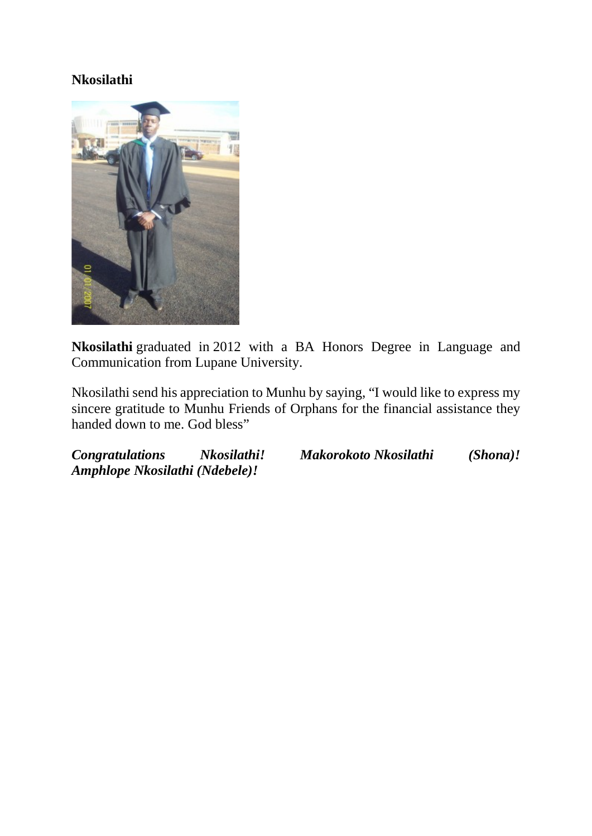#### **Nkosilathi**



**Nkosilathi** graduated in 2012 with a BA Honors Degree in Language and Communication from Lupane University.

Nkosilathi send his appreciation to Munhu by saying, "I would like to express my sincere gratitude to Munhu Friends of Orphans for the financial assistance they handed down to me. God bless"

*Congratulations Nkosilathi! Makorokoto Nkosilathi (Shona)! Amphlope Nkosilathi (Ndebele)!*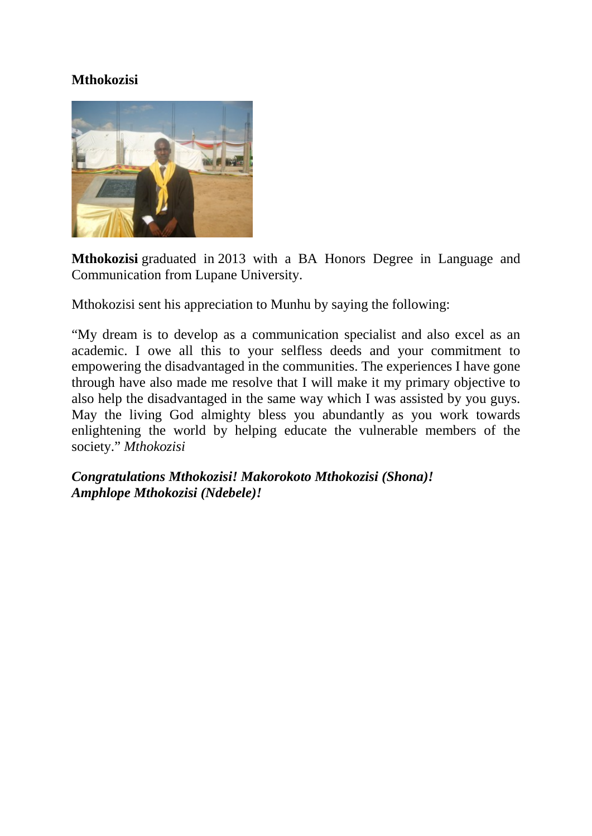### **Mthokozisi**



**Mthokozisi** graduated in 2013 with a BA Honors Degree in Language and Communication from Lupane University.

Mthokozisi sent his appreciation to Munhu by saying the following:

"My dream is to develop as a communication specialist and also excel as an academic. I owe all this to your selfless deeds and your commitment to empowering the disadvantaged in the communities. The experiences I have gone through have also made me resolve that I will make it my primary objective to also help the disadvantaged in the same way which I was assisted by you guys. May the living God almighty bless you abundantly as you work towards enlightening the world by helping educate the vulnerable members of the society." *Mthokozisi*

*Congratulations Mthokozisi! Makorokoto Mthokozisi (Shona)! Amphlope Mthokozisi (Ndebele)!*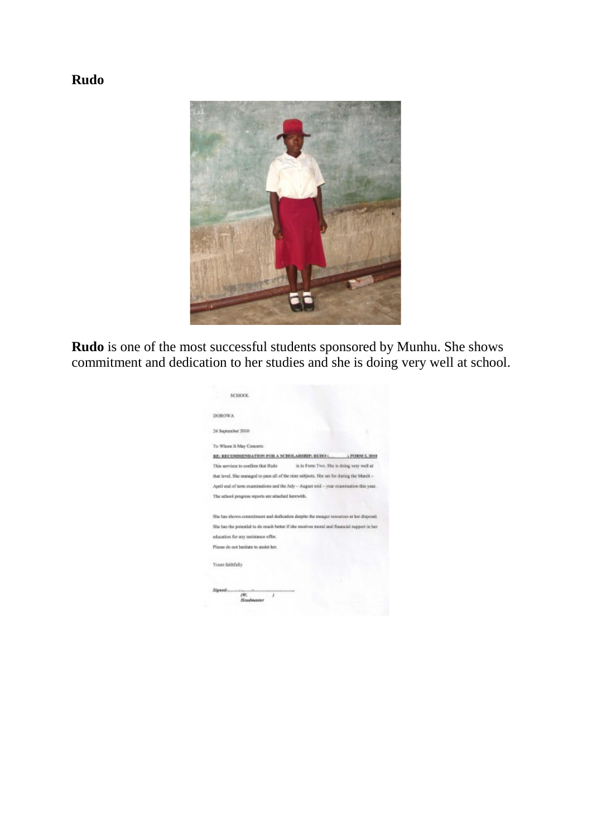# **Rudo**



**Rudo** is one of the most successful students sponsored by Munhu. She shows commitment and dedication to her studies and she is doing very well at school.

| SCHOOL                                                                                      |
|---------------------------------------------------------------------------------------------|
| DOROWA.                                                                                     |
| 24 September 2010                                                                           |
| To Whorn It May Concern:                                                                    |
| RE: RECOMMENDATION FOR A SCHOLARSHIP: RUDO C<br>A FORM 2, 2010                              |
| This services to confirm that Rudo<br>is in Fam Two. She is daing very well at              |
| that level. She managed to pass all of the nine subjects. She sat for during the March -    |
| April end of term examinations and the July -- August mid -- year examination this year.    |
| The school progress reports are attached herewith.                                          |
| She has shown constrictent and dedication despite the meager resources at her disposal.     |
| She has the potential to do reach better if she receives moral and financial support in her |
| education for any assistance offer.                                                         |
| Please do not hesitate to assist her.                                                       |
| Yours faithfully                                                                            |
|                                                                                             |
| m.<br>Headmaster                                                                            |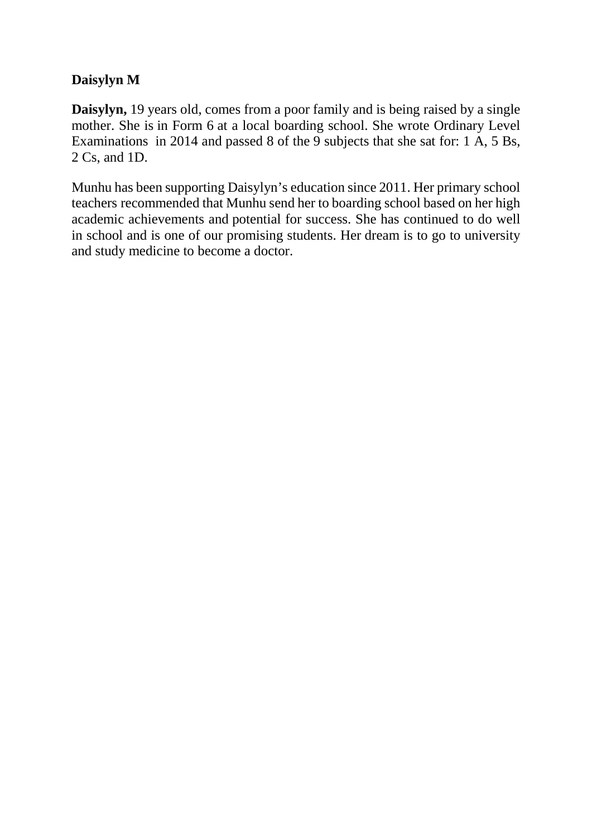# **Daisylyn M**

**Daisylyn,** 19 years old, comes from a poor family and is being raised by a single mother. She is in Form 6 at a local boarding school. She wrote Ordinary Level Examinations in 2014 and passed 8 of the 9 subjects that she sat for: 1 A, 5 Bs, 2 Cs, and 1D.

Munhu has been supporting Daisylyn's education since 2011. Her primary school teachers recommended that Munhu send her to boarding school based on her high academic achievements and potential for success. She has continued to do well in school and is one of our promising students. Her dream is to go to university and study medicine to become a doctor.